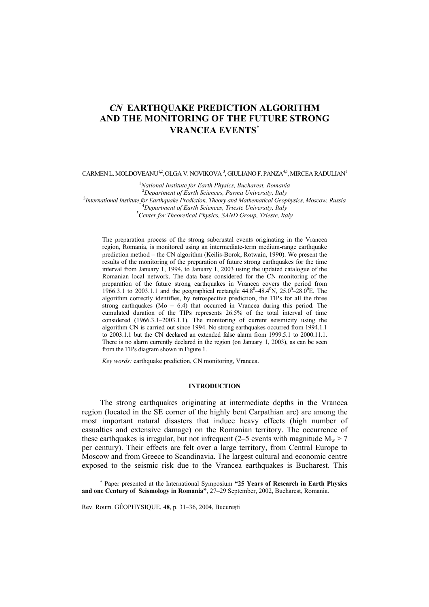# *CN* **EARTHQUAKE PREDICTION ALGORITHM AND THE MONITORING OF THE FUTURE STRONG VRANCEA EVENTS**<sup>∗</sup>

 $C$ ARMEN L. MOLDOVEANU<sup>12</sup>, OLGA V. NOVIKOVA  $^3$ , GIULIANO F. PANZA $^{4,5}$ , MIRCEA RADULIAN<sup>1</sup>

1 *National Institute for Earth Physics, Bucharest, Romania* <sup>2</sup> *Department of Earth Sciences, Parma University, Italy* <sup>3</sup> *International Institute for Earthquake Prediction, Theory and Mathematical Geophysics, Moscow, Russia* <sup>4</sup> <sup>4</sup>Department of Earth Sciences, Trieste University, Italy *Center for Theoretical Physics, SAND Group, Trieste, Italy* 

The preparation process of the strong subcrustal events originating in the Vrancea region, Romania, is monitored using an intermediate-term medium-range earthquake prediction method – the CN algorithm (Keilis-Borok, Rotwain, 1990). We present the results of the monitoring of the preparation of future strong earthquakes for the time interval from January 1, 1994, to January 1, 2003 using the updated catalogue of the Romanian local network. The data base considered for the CN monitoring of the preparation of the future strong earthquakes in Vrancea covers the period from 1966.3.1 to 2003.1.1 and the geographical rectangle  $44.8^{\circ}$ - $48.4^{\circ}$ N,  $25.0^{\circ}$ - $28.0^{\circ}$ E. The algorithm correctly identifies, by retrospective prediction, the TIPs for all the three strong earthquakes ( $Mo = 6.4$ ) that occurred in Vrancea during this period. The cumulated duration of the TIPs represents 26.5% of the total interval of time considered (1966.3.1–2003.1.1). The monitoring of current seismicity using the algorithm CN is carried out since 1994. No strong earthquakes occurred from 1994.1.1 to 2003.1.1 but the CN declared an extended false alarm from 1999.5.1 to 2000.11.1. There is no alarm currently declared in the region (on January 1, 2003), as can be seen from the TIPs diagram shown in Figure 1.

*Key words:* earthquake prediction, CN monitoring, Vrancea.

## **INTRODUCTION**

The strong earthquakes originating at intermediate depths in the Vrancea region (located in the SE corner of the highly bent Carpathian arc) are among the most important natural disasters that induce heavy effects (high number of casualties and extensive damage) on the Romanian territory. The occurrence of these earthquakes is irregular, but not infrequent (2–5 events with magnitude  $M_w > 7$ per century). Their effects are felt over a large territory, from Central Europe to Moscow and from Greece to Scandinavia. The largest cultural and economic centre exposed to the seismic risk due to the Vrancea earthquakes is Bucharest. This

l

<sup>∗</sup> Paper presented at the International Symposium **"25 Years of Research in Earth Physics and one Century of Seismology in Romania"**, 27–29 September, 2002, Bucharest, Romania.

Rev. Roum. GÉOPHYSIQUE, **48**, p. 31–36, 2004, Bucureşti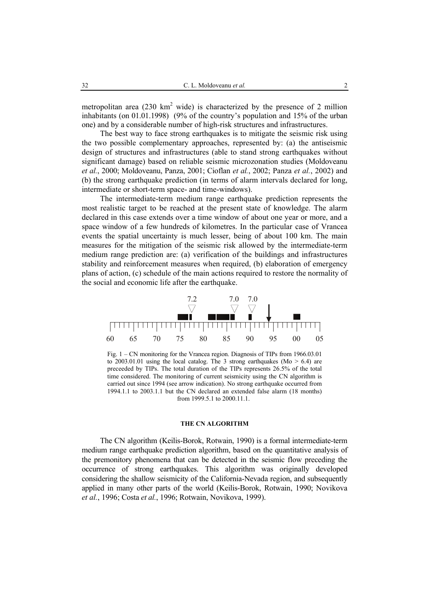metropolitan area  $(230 \text{ km}^2 \text{ wide})$  is characterized by the presence of 2 million inhabitants (on 01.01.1998) (9% of the country's population and 15% of the urban one) and by a considerable number of high-risk structures and infrastructures.

The best way to face strong earthquakes is to mitigate the seismic risk using the two possible complementary approaches, represented by: (a) the antiseismic design of structures and infrastructures (able to stand strong earthquakes without significant damage) based on reliable seismic microzonation studies (Moldoveanu *et al.*, 2000; Moldoveanu, Panza, 2001; Cioflan *et al.*, 2002; Panza *et al.*, 2002) and (b) the strong earthquake prediction (in terms of alarm intervals declared for long, intermediate or short-term space- and time-windows).

The intermediate-term medium range earthquake prediction represents the most realistic target to be reached at the present state of knowledge. The alarm declared in this case extends over a time window of about one year or more, and a space window of a few hundreds of kilometres. In the particular case of Vrancea events the spatial uncertainty is much lesser, being of about 100 km. The main measures for the mitigation of the seismic risk allowed by the intermediate-term medium range prediction are: (a) verification of the buildings and infrastructures stability and reinforcement measures when required, (b) elaboration of emergency plans of action, (c) schedule of the main actions required to restore the normality of the social and economic life after the earthquake.



Fig. 1 – CN monitoring for the Vrancea region. Diagnosis of TIPs from 1966.03.01 to 2003.01.01 using the local catalog. The 3 strong earthquakes ( $Mo > 6.4$ ) are preceeded by TIPs. The total duration of the TIPs represents 26.5% of the total time considered. The monitoring of current seismicity using the CN algorithm is carried out since 1994 (see arrow indication). No strong earthquake occurred from 1994.1.1 to 2003.1.1 but the CN declared an extended false alarm (18 months) from 1999.5.1 to 2000.11.1.

# **THE CN ALGORITHM**

The CN algorithm (Keilis-Borok, Rotwain, 1990) is a formal intermediate-term medium range earthquake prediction algorithm, based on the quantitative analysis of the premonitory phenomena that can be detected in the seismic flow preceding the occurrence of strong earthquakes. This algorithm was originally developed considering the shallow seismicity of the California-Nevada region, and subsequently applied in many other parts of the world (Keilis-Borok, Rotwain, 1990; Novikova *et al.*, 1996; Costa *et al.*, 1996; Rotwain, Novikova, 1999).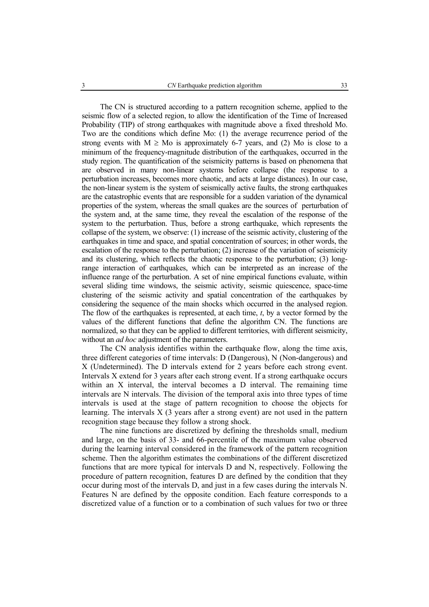The CN is structured according to a pattern recognition scheme, applied to the seismic flow of a selected region, to allow the identification of the Time of Increased Probability (TIP) of strong earthquakes with magnitude above a fixed threshold Mo. Two are the conditions which define Mo: (1) the average recurrence period of the strong events with  $M \geq Mo$  is approximately 6-7 years, and (2) Mo is close to a minimum of the frequency-magnitude distribution of the earthquakes, occurred in the study region. The quantification of the seismicity patterns is based on phenomena that are observed in many non-linear systems before collapse (the response to a perturbation increases, becomes more chaotic, and acts at large distances). In our case, the non-linear system is the system of seismically active faults, the strong earthquakes are the catastrophic events that are responsible for a sudden variation of the dynamical properties of the system, whereas the small quakes are the sources of perturbation of the system and, at the same time, they reveal the escalation of the response of the system to the perturbation. Thus, before a strong earthquake, which represents the collapse of the system, we observe: (1) increase of the seismic activity, clustering of the earthquakes in time and space, and spatial concentration of sources; in other words, the escalation of the response to the perturbation; (2) increase of the variation of seismicity and its clustering, which reflects the chaotic response to the perturbation; (3) longrange interaction of earthquakes, which can be interpreted as an increase of the influence range of the perturbation. A set of nine empirical functions evaluate, within several sliding time windows, the seismic activity, seismic quiescence, space-time clustering of the seismic activity and spatial concentration of the earthquakes by considering the sequence of the main shocks which occurred in the analysed region. The flow of the earthquakes is represented, at each time, *t*, by a vector formed by the values of the different functions that define the algorithm CN. The functions are normalized, so that they can be applied to different territories, with different seismicity, without an *ad hoc* adjustment of the parameters.

The CN analysis identifies within the earthquake flow, along the time axis, three different categories of time intervals: D (Dangerous), N (Non-dangerous) and X (Undetermined). The D intervals extend for 2 years before each strong event. Intervals X extend for 3 years after each strong event. If a strong earthquake occurs within an X interval, the interval becomes a D interval. The remaining time intervals are N intervals. The division of the temporal axis into three types of time intervals is used at the stage of pattern recognition to choose the objects for learning. The intervals X (3 years after a strong event) are not used in the pattern recognition stage because they follow a strong shock.

The nine functions are discretized by defining the thresholds small, medium and large, on the basis of 33- and 66-percentile of the maximum value observed during the learning interval considered in the framework of the pattern recognition scheme. Then the algorithm estimates the combinations of the different discretized functions that are more typical for intervals D and N, respectively. Following the procedure of pattern recognition, features D are defined by the condition that they occur during most of the intervals D, and just in a few cases during the intervals N. Features N are defined by the opposite condition. Each feature corresponds to a discretized value of a function or to a combination of such values for two or three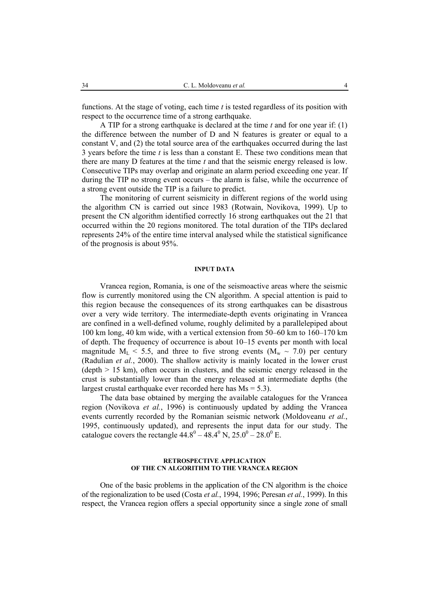functions. At the stage of voting, each time *t* is tested regardless of its position with respect to the occurrence time of a strong earthquake.

A TIP for a strong earthquake is declared at the time *t* and for one year if: (1) the difference between the number of D and N features is greater or equal to a constant V, and (2) the total source area of the earthquakes occurred during the last 3 years before the time *t* is less than a constant E. These two conditions mean that there are many D features at the time *t* and that the seismic energy released is low. Consecutive TIPs may overlap and originate an alarm period exceeding one year. If during the TIP no strong event occurs – the alarm is false, while the occurrence of a strong event outside the TIP is a failure to predict.

The monitoring of current seismicity in different regions of the world using the algorithm CN is carried out since 1983 (Rotwain, Novikova, 1999). Up to present the CN algorithm identified correctly 16 strong earthquakes out the 21 that occurred within the 20 regions monitored. The total duration of the TIPs declared represents 24% of the entire time interval analysed while the statistical significance of the prognosis is about 95%.

### **INPUT DATA**

Vrancea region, Romania, is one of the seismoactive areas where the seismic flow is currently monitored using the CN algorithm. A special attention is paid to this region because the consequences of its strong earthquakes can be disastrous over a very wide territory. The intermediate-depth events originating in Vrancea are confined in a well-defined volume, roughly delimited by a parallelepiped about 100 km long, 40 km wide, with a vertical extension from 50–60 km to 160–170 km of depth. The frequency of occurrence is about 10–15 events per month with local magnitude  $M_{\text{L}}$  < 5.5, and three to five strong events  $(M_{\text{w}} \sim 7.0)$  per century (Radulian *et al.*, 2000). The shallow activity is mainly located in the lower crust (depth > 15 km), often occurs in clusters, and the seismic energy released in the crust is substantially lower than the energy released at intermediate depths (the largest crustal earthquake ever recorded here has Ms = 5.3).

The data base obtained by merging the available catalogues for the Vrancea region (Novikova *et al.*, 1996) is continuously updated by adding the Vrancea events currently recorded by the Romanian seismic network (Moldoveanu *et al.*, 1995, continuously updated), and represents the input data for our study. The catalogue covers the rectangle  $44.8^{\circ} - 48.4^{\circ}$  N,  $25.0^{\circ} - 28.0^{\circ}$  E.

#### **RETROSPECTIVE APPLICATION OF THE CN ALGORITHM TO THE VRANCEA REGION**

One of the basic problems in the application of the CN algorithm is the choice of the regionalization to be used (Costa *et al.*, 1994, 1996; Peresan *et al.*, 1999). In this respect, the Vrancea region offers a special opportunity since a single zone of small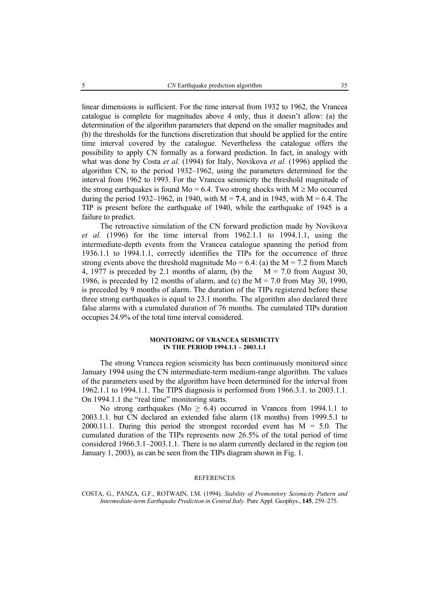linear dimensions is sufficient. For the time interval from 1932 to 1962, the Vrancea catalogue is complete for magnitudes above 4 only, thus it doesn't allow: (a) the determination of the algorithm parameters that depend on the smaller magnitudes and (b) the thresholds for the functions discretization that should be applied for the entire time interval covered by the catalogue. Nevertheless the catalogue offers the possibility to apply CN formally as a forward prediction. In fact, in analogy with what was done by Costa *et al.* (1994) for Italy, Novikova *et al.* (1996) applied the algorithm CN, to the period 1932–1962, using the parameters determined for the interval from 1962 to 1993. For the Vrancea seismicity the threshold magnitude of the strong earthquakes is found Mo = 6.4. Two strong shocks with  $M \geq M_0$  occurred during the period 1932–1962, in 1940, with  $M = 7.4$ , and in 1945, with  $M = 6.4$ . The TIP is present before the earthquake of 1940, while the earthquake of 1945 is a failure to predict.

The retroactive simulation of the CN forward prediction made by Novikova *et al.* (1996) for the time interval from 1962.1.1 to 1994.1.1, using the intermediate-depth events from the Vrancea catalogue spanning the period from 1936.1.1 to 1994.1.1, correctly identifies the TIPs for the occurrence of three strong events above the threshold magnitude  $Mo = 6.4$ : (a) the  $M = 7.2$  from March 4, 1977 is preceded by 2.1 months of alarm, (b) the  $M = 7.0$  from August 30, 1986, is preceded by 12 months of alarm, and (c) the  $M = 7.0$  from May 30, 1990, is preceded by 9 months of alarm. The duration of the TIPs registered before these three strong earthquakes is equal to 23.1 months. The algorithm also declared three false alarms with a cumulated duration of 76 months. The cumulated TIPs duration occupies 24.9% of the total time interval considered.

## **MONITORING OF VRANCEA SEISMICITY IN THE PERIOD 1994.1.1 – 2003.1.1**

The strong Vrancea region seismicity has been continuously monitored since January 1994 using the CN intermediate-term medium-range algorithm. The values of the parameters used by the algorithm have been determined for the interval from 1962.1.1 to 1994.1.1. The TIPS diagnosis is performed from 1966.3.1. to 2003.1.1. On 1994.1.1 the "real time" monitoring starts.

No strong earthquakes (Mo  $> 6.4$ ) occurred in Vrancea from 1994.1.1 to 2003.1.1. but CN declared an extended false alarm (18 months) from 1999.5.1 to 2000.11.1. During this period the strongest recorded event has  $M = 5.0$ . The cumulated duration of the TIPs represents now 26.5% of the total period of time considered 1966.3.1–2003.1.1. There is no alarm currently declared in the region (on January 1, 2003), as can be seen from the TIPs diagram shown in Fig. 1.

#### **REFERENCES**

COSTA, G., PANZA, G.F., ROTWAIN, I.M. (1994), *Stability of Premonitory Seismicity Pattern and Intermediate-term Earthquake Prediction in Central Italy.* Pure Appl. Geophys., **145**, 259–275.